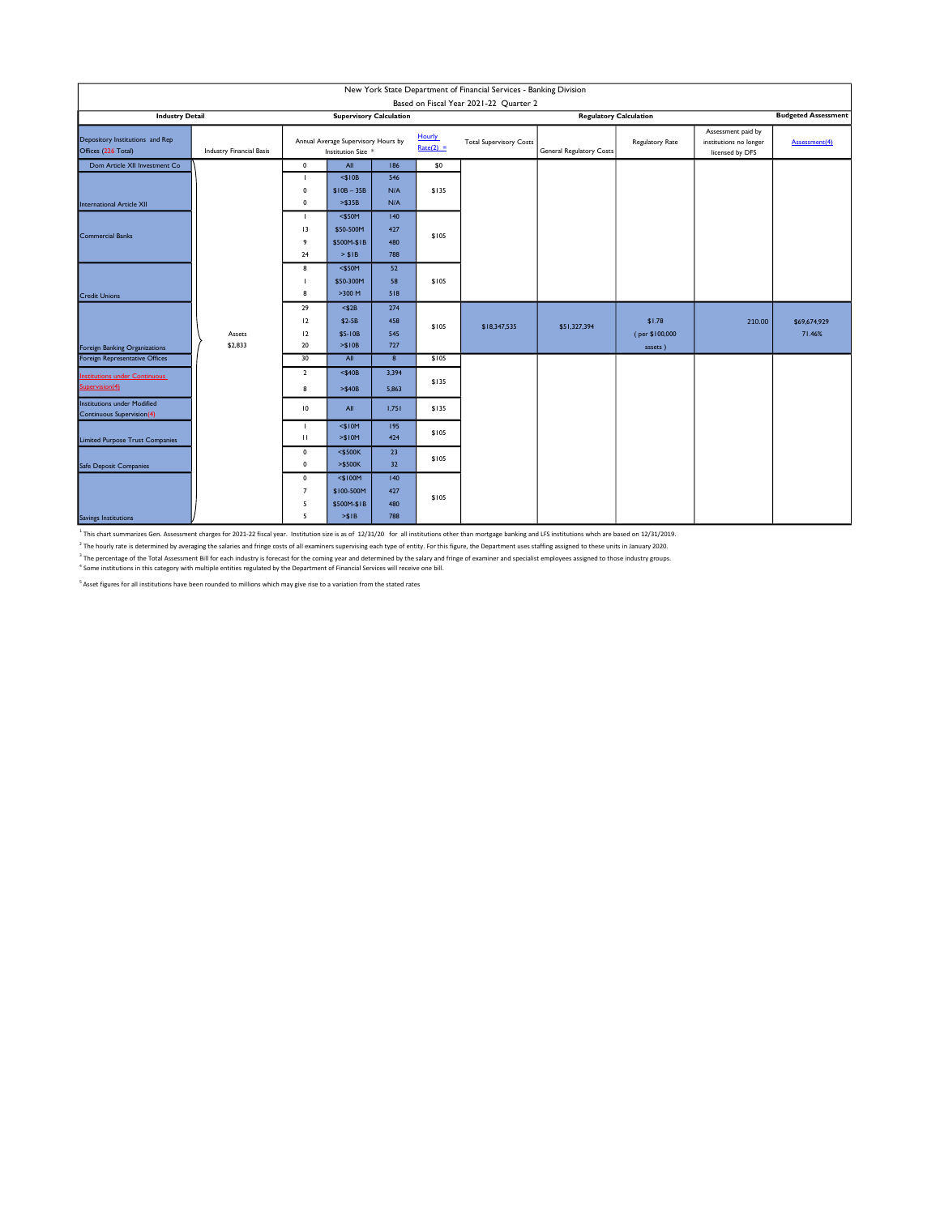| New York State Department of Financial Services - Banking Division<br>Based on Fiscal Year 2021-22 Quarter 2 |                                 |                                                           |                                                   |                          |                       |                                |                                 |                                     |                                                                 |                        |  |
|--------------------------------------------------------------------------------------------------------------|---------------------------------|-----------------------------------------------------------|---------------------------------------------------|--------------------------|-----------------------|--------------------------------|---------------------------------|-------------------------------------|-----------------------------------------------------------------|------------------------|--|
| <b>Industry Detail</b>                                                                                       | <b>Supervisory Calculation</b>  |                                                           |                                                   |                          |                       | <b>Regulatory Calculation</b>  |                                 |                                     | <b>Budgeted Assessment</b>                                      |                        |  |
| Depository Institutions and Rep<br>Offices (226 Total)                                                       | <b>Industry Financial Basis</b> | Annual Average Supervisory Hours by<br>Institution Size * |                                                   |                          | Hourly<br>$Rate(2) =$ | <b>Total Supervisory Costs</b> | <b>General Regulatory Costs</b> | Regulatory Rate                     | Assessment paid by<br>institutions no longer<br>licensed by DFS | Assessment(4)          |  |
| Dom Article XII Investment Co                                                                                |                                 | $\mathbf 0$                                               | All                                               | 186                      | \$0                   |                                |                                 |                                     |                                                                 |                        |  |
| <b>International Article XII</b>                                                                             |                                 | $\mathbf{L}$<br>$\mathbf 0$<br>$\mathbf 0$                | $<$ \$10B<br>$$10B - 35B$<br>> \$35B              | 546<br>N/A<br>N/A        | \$135                 |                                |                                 |                                     |                                                                 |                        |  |
| Commercial Banks                                                                                             |                                 | $\mathbf{L}$<br>13<br>9<br>24                             | $<$ \$50M<br>\$50-500M<br>\$500M-\$1B             | 140<br>427<br>480<br>788 | \$105                 |                                |                                 |                                     |                                                                 |                        |  |
| <b>Credit Unions</b>                                                                                         |                                 | 8<br>п<br>8                                               | > \$IB<br>$<$ \$50M<br>\$50-300M<br>>300 M        | 52<br>58<br>518          | \$105                 |                                |                                 |                                     |                                                                 |                        |  |
| Foreign Banking Organizations                                                                                | Assets<br>\$2,833               | 29<br>12<br>12<br>20                                      | $<$ \$2B<br>\$2-5B<br>\$5-10B<br>> \$10B          | 274<br>458<br>545<br>727 | \$105                 | \$18,347,535                   | \$51,327,394                    | \$1.78<br>(per \$100,000<br>assets) | 210.00                                                          | \$69,674,929<br>71.46% |  |
| Foreign Representative Offices                                                                               |                                 | 30                                                        | All                                               | 8                        | \$105                 |                                |                                 |                                     |                                                                 |                        |  |
| <b>Institutions under Continuous</b><br>Supervision(4)                                                       |                                 | $\overline{2}$<br>8                                       | $<$ \$40B<br>$> $40B$                             | 3,394<br>5,863           | \$135                 |                                |                                 |                                     |                                                                 |                        |  |
| <b>Institutions under Modified</b><br><b>Continuous Supervision(4)</b>                                       |                                 | 10                                                        | All                                               | 1,751                    | \$135                 |                                |                                 |                                     |                                                                 |                        |  |
| <b>Limited Purpose Trust Companies</b>                                                                       |                                 | $\mathbf{H}$                                              | $<$ \$10M<br>> \$10M                              | 195<br>424               | \$105                 |                                |                                 |                                     |                                                                 |                        |  |
| Safe Deposit Companies                                                                                       |                                 | 0<br>0                                                    | $<$ \$500K<br>$>$ \$500K                          | 23<br>32                 | \$105                 |                                |                                 |                                     |                                                                 |                        |  |
| Savings Institutions                                                                                         |                                 | $\mathbf 0$<br>$\overline{7}$<br>5<br>5                   | $<$ \$100M<br>\$100-500M<br>\$500M-\$1B<br>> \$IB | 140<br>427<br>480<br>788 | \$105                 |                                |                                 |                                     |                                                                 |                        |  |

<sup>1</sup> This chart summarizes Gen. Assessment charges for 2021-22 fiscal year. Institution size is as of 12/31/20 for all institutions other than mortgage banking and LFS institutions whch are based on 12/31/2019.

<sup>2</sup> The hourly rate is determined by averaging the salaries and fringe costs of all examiners supervising each type of entity. For this figure, the Department uses staffing assigned to these units in January 2020.

<sup>3</sup> The percentage of the Total Assessment Bill for each industry is forecast for the coming year and determined by the salary and fringe of examiner and specialist employees assigned to those industry groups.<br>" Some insti

 $<sup>5</sup>$  Asset figures for all institutions have been rounded to millions which may give rise to a variation from the stated rates</sup>